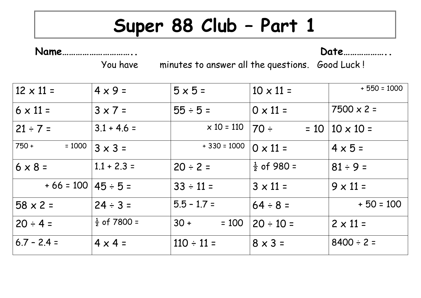## **Super 88 Club – Part 1**

**Name………………………….. Date………………..**

You have minutes to answer all the questions. Good Luck !

| $12 \times 11 =$          | $4 \times 9 =$          | $5 \times 5 =$    | $10 \times 11 =$       | $+550 = 1000$              |
|---------------------------|-------------------------|-------------------|------------------------|----------------------------|
| $6 \times 11 =$           | $3 \times 7 =$          | $55 \div 5 =$     | $0 \times 11 =$        | $7500 \times 2 =$          |
| $21 \div 7 =$             | $3.1 + 4.6 =$           | $\times$ 10 = 110 | $ 70 \div$             | $= 10 \mid 10 \times 10 =$ |
| $750 +$<br>$= 1000$       | $3 \times 3 =$          | $+330 = 1000$     | $0 \times 11 =$        | $4 \times 5 =$             |
| $6 \times 8 =$            | $1.1 + 2.3 =$           | $20 \div 2 =$     | $\frac{1}{2}$ of 980 = | $81 \div 9 =$              |
| $+66 = 100   45 \div 5 =$ |                         | $33 \div 11 =$    | $3 \times 11 =$        | $9 \times 11 =$            |
| $58 \times 2 =$           | $24 \div 3 =$           | $5.5 - 1.7 =$     | $64 \div 8 =$          | $+50 = 100$                |
| $20 \div 4 =$             | $\frac{1}{2}$ of 7800 = | $30 +$<br>$= 100$ | $20 \div 10 =$         | $2 \times 11 =$            |
| $6.7 - 2.4 =$             | $4 \times 4 =$          | $110 \div 11 =$   | $8 \times 3 =$         | $8400 \div 2 =$            |